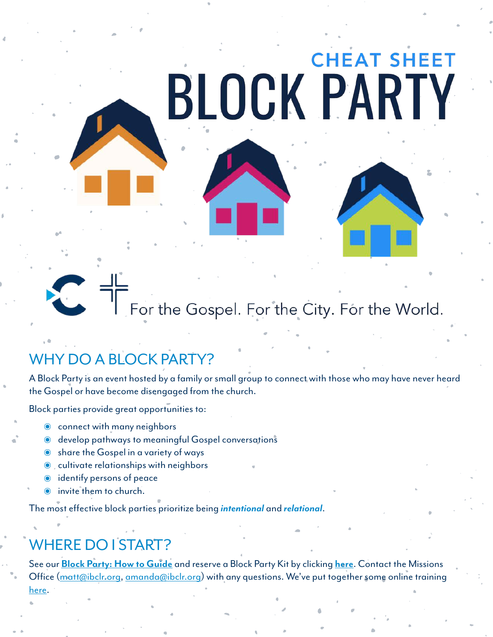# **CHEAT SHEET BLOCK PARTY**

# For the Gospel. For the City. For the World.

# WHY DO A BLOCK PARTY?

A Block Party is an event hosted by a family or small group to connect with those who may have never heard the Gospel or have become disengaged from the church.

Block parties provide great opportunities to:

- connect with many neighbors
- ๏ develop pathways to meaningful Gospel conversations
- ๏ share the Gospel in a variety of ways
- ๏ cultivate relationships with neighbors
- ๏ identify persons of peace
- invite them to church.

The most effective block parties prioritize being *intentional* and *relational*.

#### WHERE DO I START?

See our **[Block Party: How to Guide](https://drive.google.com/file/d/1w0xCbjY3mQEm8XL1-1INzdbBIPagrGeY/view)** and reserve a Block Party Kit by clicking **[here](https://bit.ly/BPKReservation)**. Contact the Missions Office [\(matt@ibclr.org,](mailto:matt@ibclr.org) [amanda@ibclr.org\)](mailto:amanda@ibclr.org) with any questions. We've put together some online training [here](https://ibclr.pathwright.com/library/block-party-training-179506/register/404769/).